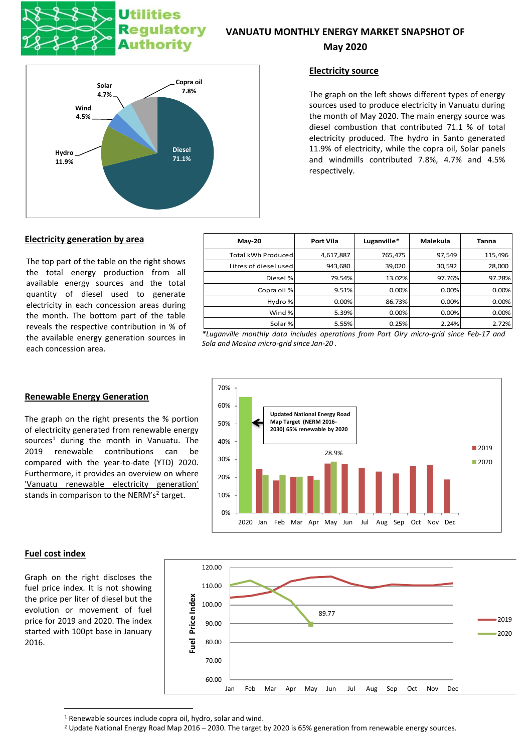

# Jtilities ulatory Authority

# **VANUATU MONTHLY ENERGY MARKET SNAPSHOT OF**

# **May 2020**



# **Electricity source**

The graph on the left shows different types of energy sources used to produce electricity in Vanuatu during the month of May 2020. The main energy source was diesel combustion that contributed 71.1 % of total electricity produced. The hydro in Santo generated 11.9% of electricity, while the copra oil, Solar panels and windmills contributed 7.8%, 4.7% and 4.5% respectively.

#### **Electricity generation by area**

The top part of the table on the right shows the total energy production from all available energy sources and the total quantity of diesel used to generate electricity in each concession areas during the month. The bottom part of the table reveals the respective contribution in % of the available energy generation sources in each concession area.

| $Mav-20$              | Port Vila | Luganville* | Malekula | <b>Tanna</b> |
|-----------------------|-----------|-------------|----------|--------------|
| Total kWh Produced    | 4,617,887 | 765,475     | 97,549   | 115,496      |
| Litres of diesel used | 943,680   | 39,020      | 30,592   | 28,000       |
| Diesel %              | 79.54%    | 13.02%      | 97.76%   | 97.28%       |
| Copra oil %           | 9.51%     | 0.00%       | 0.00%    | 0.00%        |
| Hydro %               | 0.00%     | 86.73%      | 0.00%    | 0.00%        |
| Wind %                | 5.39%     | 0.00%       | 0.00%    | 0.00%        |
| Solar%                | 5.55%     | 0.25%       | 2.24%    | 2.72%        |

*\*Luganville monthly data includes operations from Port Olry micro-grid since Feb-17 and Sola and Mosina micro-grid since Jan-20 .*



#### **Renewable Energy Generation**

The graph on the right presents the % portion of electricity generated from renewable energy sources<sup>1</sup> during the month in Vanuatu. The 2019 renewable contributions can be compared with the year-to-date (YTD) 2020. Furthermore, it provides an overview on where 'Vanuatu renewable electricity generation' stands in comparison to the NERM's<sup>2</sup> target.

# **Fuel cost index**

Graph on the right discloses the fuel price index. It is not showing the price per liter of diesel but the evolution or movement of fuel price for 2019 and 2020. The index started with 100pt base in January 2016.



<sup>&</sup>lt;sup>1</sup> Renewable sources include copra oil, hydro, solar and wind.

<sup>2</sup> Update National Energy Road Map 2016 – 2030. The target by 2020 is 65% generation from renewable energy sources.